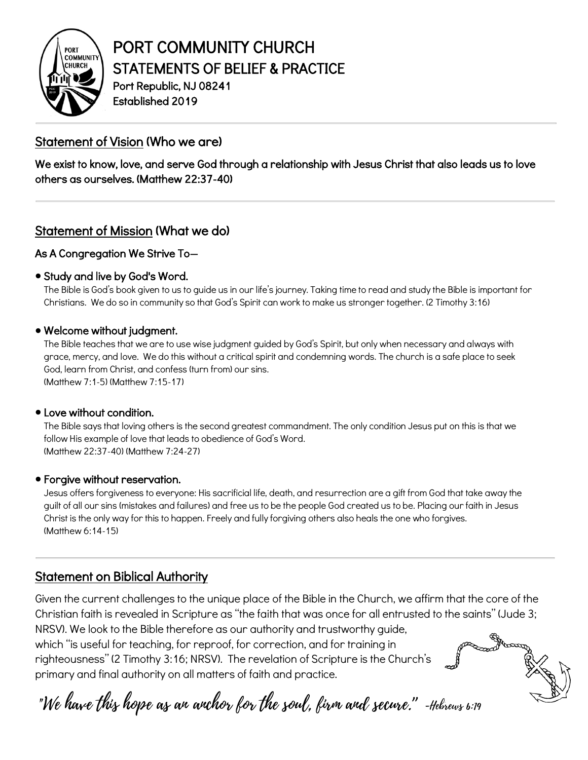

# PORT COMMUNITY CHURCH STATEMENTS OF BELIEF & PRACTICE<br>Port Republic, NJ 08241

Established 2019

## Statement of Vision (Who we are)

We exist to know, love, and serve God through a relationship with Jesus Christ that also leads us to love others as ourselves. (Matthew 22:37-40)

## Statement of Mission (What we do)

## As A Congregation We Strive To—

## • Study and live by God's Word.

The Bible is God's book given to us to guide us in our life's journey. Taking time to read and study the Bible is important for Christians. We do so in community so that God's Spirit can work to make us stronger together. (2 Timothy 3:16)

#### • Welcome without judgment.

The Bible teaches that we are to use wise judgment guided by God's Spirit, but only when necessary and always with grace, mercy, and love. We do this without a critical spirit and condemning words. The church is a safe place to seek God, learn from Christ, and confess (turn from) our sins. (Matthew 7:1-5) (Matthew 7:15-17)

#### • Love without condition.

The Bible says that loving others is the second greatest commandment. The only condition Jesus put on this is that we follow His example of love that leads to obedience of God's Word. (Matthew 22:37-40) (Matthew 7:24-27)

## • Forgive without reservation.

Jesus offers forgiveness to everyone: His sacrificial life, death, and resurrection are a gift from God that take away the guilt of all our sins (mistakes and failures) and free us to be the people God created us to be. Placing our faith in Jesus Christ is the only way for this to happen. Freely and fully forgiving others also heals the one who forgives. (Matthew 6:14-15)

## Statement on Biblical Authority

Given the current challenges to the unique place of the Bible in the Church, we affirm that the core of the Christian faith is revealed in Scripture as "the faith that was once for all entrusted to the saints" (Jude 3; NRSV). We look to the Bible therefore as our authority and trustworthy guide,

which "is useful for teaching, for reproof, for correction, and for training in righteousness" (2 Timothy 3:16; NRSV). The revelation of Scripture is the Church's primary and final authority on all matters of faith and practice.



 $\overline{a}$ 

í

"We have this hope as an anchor for the soul, firm and secure." -Hebrews 6:19